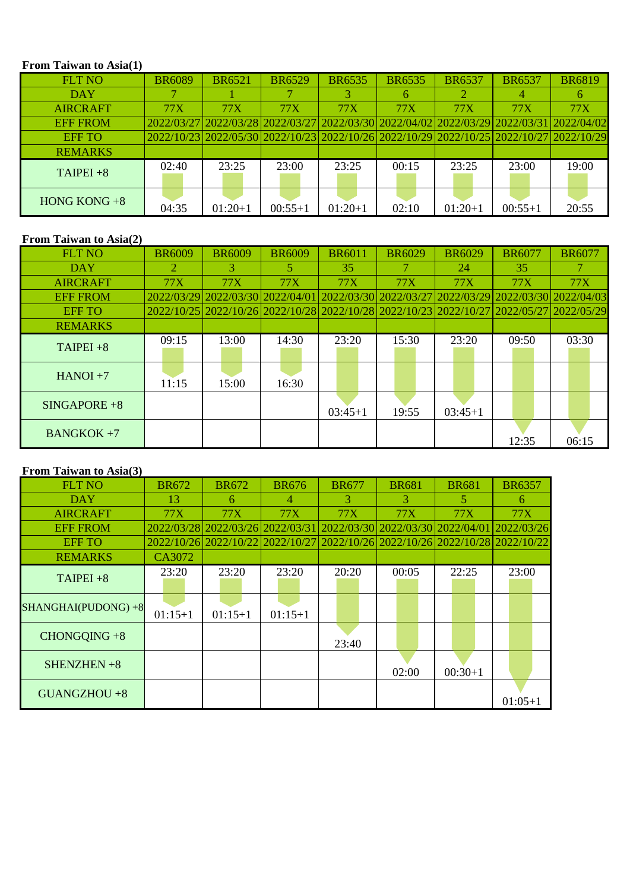### **From Taiwan to Asia(1)**

| <b>FLT NO</b>   | <b>BR6089</b> | <b>BR6521</b> | <b>BR6529</b> | <b>BR6535</b> | <b>BR6535</b> | <b>BR6537</b>                                                                           | <b>BR6537</b> | <b>BR6819</b> |
|-----------------|---------------|---------------|---------------|---------------|---------------|-----------------------------------------------------------------------------------------|---------------|---------------|
| <b>DAY</b>      |               |               |               |               |               |                                                                                         |               |               |
| <b>AIRCRAFT</b> | 77X           | <b>77X</b>    | <b>77X</b>    | <b>77X</b>    | <b>77X</b>    | <b>77X</b>                                                                              | <b>77X</b>    | <b>77X</b>    |
| <b>EFF FROM</b> |               |               |               |               |               | 2022/03/27 2022/03/28 2022/03/27 2022/03/30 2022/04/02 2022/03/29 2022/03/31 2022/04/02 |               |               |
| <b>EFF TO</b>   |               |               |               |               |               | 2022/10/23 2022/05/30 2022/10/23 2022/10/26 2022/10/29 2022/10/25 2022/10/27 2022/10/29 |               |               |
| <b>REMARKS</b>  |               |               |               |               |               |                                                                                         |               |               |
| $TAIPEI + 8$    | 02:40         | 23:25         | 23:00         | 23:25         | 00:15         | 23:25                                                                                   | 23:00         | 19:00         |
| HONG KONG $+8$  | 04:35         | $01:20+1$     | $00:55+1$     | $01:20+1$     | 02:10         | $01:20+1$                                                                               | $00:55+1$     | 20:55         |

# **From Taiwan to Asia(2)**

| $\bf{1}$ Tom Tarwan to $\bf{1}$ sia(2) |               |                                                                                         |               |               |               |               |               |               |
|----------------------------------------|---------------|-----------------------------------------------------------------------------------------|---------------|---------------|---------------|---------------|---------------|---------------|
| <b>FLT NO</b>                          | <b>BR6009</b> | <b>BR6009</b>                                                                           | <b>BR6009</b> | <b>BR6011</b> | <b>BR6029</b> | <b>BR6029</b> | <b>BR6077</b> | <b>BR6077</b> |
| <b>DAY</b>                             |               | 3                                                                                       |               | 35            |               | 24            | 35            |               |
| <b>AIRCRAFT</b>                        | <b>77X</b>    | <b>77X</b>                                                                              | <b>77X</b>    | <b>77X</b>    | <b>77X</b>    | <b>77X</b>    | <b>77X</b>    | <b>77X</b>    |
| <b>EFF FROM</b>                        |               | 2022/03/29 2022/03/30 2022/04/01 2022/03/30 2022/03/27 2022/03/29 2022/03/30 2022/04/03 |               |               |               |               |               |               |
| <b>EFF TO</b>                          |               | 2022/10/25 2022/10/26 2022/10/28 2022/10/28 2022/10/23 2022/10/27 2022/05/27 2022/05/29 |               |               |               |               |               |               |
| <b>REMARKS</b>                         |               |                                                                                         |               |               |               |               |               |               |
| $TAIPEI + 8$                           | 09:15         | 13:00                                                                                   | 14:30         | 23:20         | 15:30         | 23:20         | 09:50         | 03:30         |
| $HANOI + 7$                            | 11:15         | 15:00                                                                                   | 16:30         |               |               |               |               |               |
| $SINGAPORE + 8$                        |               |                                                                                         |               | $03:45+1$     | 19:55         | $03:45+1$     |               |               |
| $BANGKOK +7$                           |               |                                                                                         |               |               |               |               | 12:35         | 06:15         |

## **From Taiwan to Asia(3)**

| <b>FLT NO</b>       | <b>BR672</b> | <b>BR672</b>                                                                 | <b>BR676</b>   | <b>BR677</b> | <b>BR681</b> | <b>BR681</b> | <b>BR6357</b> |
|---------------------|--------------|------------------------------------------------------------------------------|----------------|--------------|--------------|--------------|---------------|
| <b>DAY</b>          | 13           | 6                                                                            | $\overline{4}$ | 3            | 3            | 5            | 6             |
| <b>AIRCRAFT</b>     | 77X          | <b>77X</b>                                                                   | 77X            | 77X          | 77X          | <b>77X</b>   | <b>77X</b>    |
| <b>EFF FROM</b>     |              | 2022/03/28 2022/03/26 2022/03/31 2022/03/30 2022/03/30 2022/04/01            |                |              |              |              | 2022/03/26    |
| <b>EFF TO</b>       |              | 2022/10/26 2022/10/22 2022/10/27 2022/10/26 2022/10/26 2022/10/28 2022/10/22 |                |              |              |              |               |
| <b>REMARKS</b>      | CA3072       |                                                                              |                |              |              |              |               |
| $TAIPEI + 8$        | 23:20        | 23:20                                                                        | 23:20          | 20:20        | 00:05        | 22:25        | 23:00         |
| SHANGHAI(PUDONG) +8 | $01:15+1$    | $01:15+1$                                                                    | $01:15+1$      |              |              |              |               |
| $CHONGQING + 8$     |              |                                                                              |                | 23:40        |              |              |               |
| SHENZHEN $+8$       |              |                                                                              |                |              | 02:00        | $00:30+1$    |               |
| $GUANGZHOU +8$      |              |                                                                              |                |              |              |              | $01:05+1$     |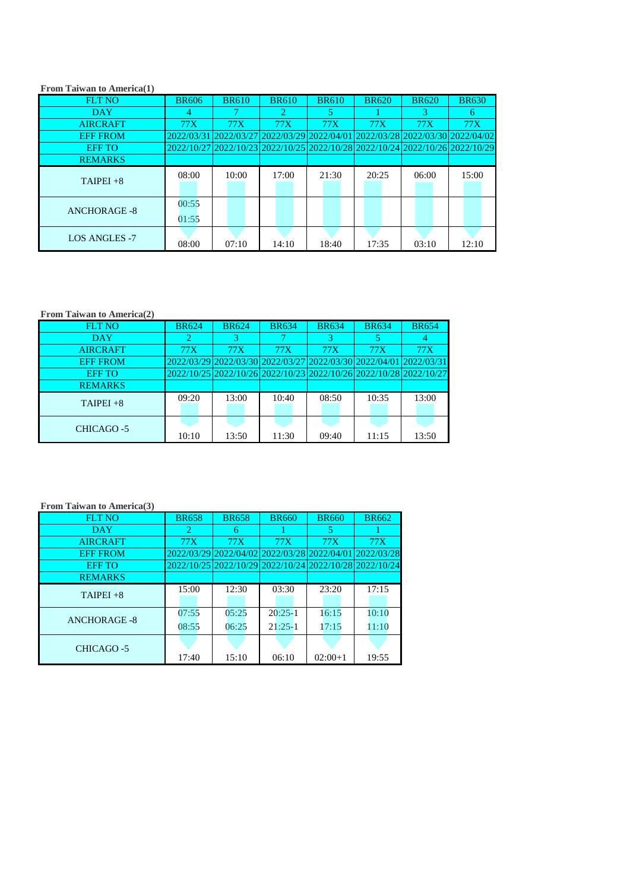| From Taiwan to America(1) |                |              |                       |              |              |                                                                              |              |
|---------------------------|----------------|--------------|-----------------------|--------------|--------------|------------------------------------------------------------------------------|--------------|
| <b>FLT NO</b>             | <b>BR606</b>   | <b>BR610</b> | <b>BR610</b>          | <b>BR610</b> | <b>BR620</b> | <b>BR620</b>                                                                 | <b>BR630</b> |
| <b>DAY</b>                | 4              |              | $\mathcal{D}_{\cdot}$ | 5            |              | З                                                                            | 6            |
| <b>AIRCRAFT</b>           | <b>77X</b>     | 77X          | <b>77X</b>            | <b>77X</b>   | 77X          | 77X                                                                          | <b>77X</b>   |
| <b>EFF FROM</b>           | 2022/03/31     |              |                       |              |              | 2022/03/27 2022/03/29 2022/04/01 2022/03/28 2022/03/30 2022/04/02            |              |
| <b>EFF TO</b>             |                |              |                       |              |              | 2022/10/27 2022/10/23 2022/10/25 2022/10/28 2022/10/24 2022/10/26 2022/10/29 |              |
| <b>REMARKS</b>            |                |              |                       |              |              |                                                                              |              |
| $TAIPEI + 8$              | 08:00          | 10:00        | 17:00                 | 21:30        | 20:25        | 06:00                                                                        | 15:00        |
| <b>ANCHORAGE -8</b>       | 00:55<br>01:55 |              |                       |              |              |                                                                              |              |
| <b>LOS ANGLES -7</b>      | 08:00          | 07:10        | 14:10                 | 18:40        | 17:35        | 03:10                                                                        | 12:10        |

# **From Taiwan to America(2)**

| <b>FLT NO</b>     | <b>BR624</b> | <b>BR624</b> | <b>BR634</b>                                                      | <b>BR634</b> | <b>BR634</b> | <b>BR654</b> |
|-------------------|--------------|--------------|-------------------------------------------------------------------|--------------|--------------|--------------|
| <b>DAY</b>        |              | 3            |                                                                   |              |              |              |
| <b>AIRCRAFT</b>   | 77X          | 77X          | 77X                                                               | 77X          | 77X          | 77X          |
| <b>EFF FROM</b>   |              |              | 2022/03/29 2022/03/30 2022/03/27 2022/03/30 2022/04/01 2022/03/31 |              |              |              |
| <b>EFF TO</b>     |              |              | 2022/10/25 2022/10/26 2022/10/23 2022/10/26 2022/10/28 2022/10/27 |              |              |              |
| <b>REMARKS</b>    |              |              |                                                                   |              |              |              |
| $TAIPEI + 8$      | 09:20        | 13:00        | 10:40                                                             | 08:50        | 10:35        | 13:00        |
| <b>CHICAGO -5</b> | 10:10        | 13:50        | 11:30                                                             | 09:40        | 11:15        | 13:50        |

#### **From Taiwan to America(3)**

| <b>FLT NO</b>       | <b>BR658</b> | <b>BR658</b> | <b>BR660</b> | <b>BR660</b> | <b>BR662</b>                                           |
|---------------------|--------------|--------------|--------------|--------------|--------------------------------------------------------|
| <b>DAY</b>          | 2            | 6            |              | 5            |                                                        |
| <b>AIRCRAFT</b>     | 77X          | 77X          | 77X          | 77X          | 77X                                                    |
| <b>EFF FROM</b>     |              |              |              |              | 2022/03/29 2022/04/02 2022/03/28 2022/04/01 2022/03/28 |
| <b>EFF TO</b>       |              |              |              |              | 2022/10/25 2022/10/29 2022/10/24 2022/10/28 2022/10/24 |
| <b>REMARKS</b>      |              |              |              |              |                                                        |
| $TAIPEI + 8$        | 15:00        | 12:30        | 03:30        | 23:20        | 17:15                                                  |
|                     | 07:55        | 05:25        | $20:25-1$    | 16:15        | 10:10                                                  |
| <b>ANCHORAGE -8</b> | 08:55        | 06:25        | $21:25-1$    | 17:15        | 11:10                                                  |
| CHICAGO -5          | 17:40        | 15:10        | 06:10        | $02:00+1$    | 19:55                                                  |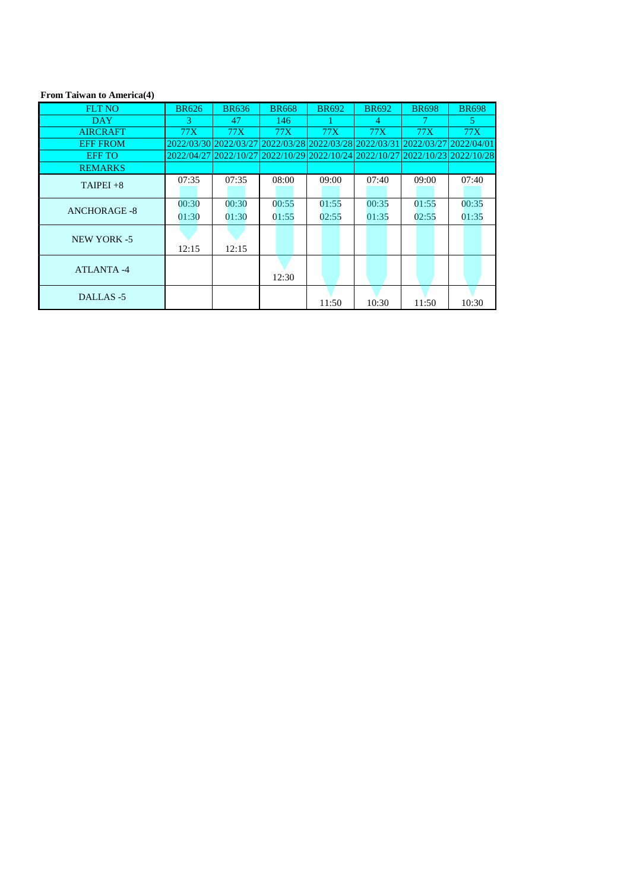# **From Taiwan to America(4)**

| <b>FLT NO</b>       | <b>BR626</b> | <b>BR636</b> | <b>BR668</b>                                                                 | <b>BR692</b> | <b>BR692</b> | <b>BR698</b>          | <b>BR698</b> |
|---------------------|--------------|--------------|------------------------------------------------------------------------------|--------------|--------------|-----------------------|--------------|
| <b>DAY</b>          | 3            | 47           | 146                                                                          |              | 4            |                       | 5            |
| <b>AIRCRAFT</b>     | 77X          | 77X          | 77X                                                                          | 77X          | 77X          | 77X                   | 77X          |
| <b>EFF FROM</b>     |              |              | 2022/03/30 2022/03/27 2022/03/28 2022/03/28 2022/03/31                       |              |              | 2022/03/27 2022/04/01 |              |
| <b>EFF TO</b>       |              |              | 2022/04/27 2022/10/27 2022/10/29 2022/10/24 2022/10/27 2022/10/23 2022/10/28 |              |              |                       |              |
| <b>REMARKS</b>      |              |              |                                                                              |              |              |                       |              |
| TAIPEI $+8$         | 07:35        | 07:35        | 08:00                                                                        | 09:00        | 07:40        | 09:00                 | 07:40        |
| <b>ANCHORAGE -8</b> | 00:30        | 00:30        | 00:55                                                                        | 01:55        | 00:35        | 01:55                 | 00:35        |
|                     | 01:30        | 01:30        | 01:55                                                                        | 02:55        | 01:35        | 02:55                 | 01:35        |
| <b>NEW YORK -5</b>  |              |              |                                                                              |              |              |                       |              |
|                     | 12:15        | 12:15        |                                                                              |              |              |                       |              |
| <b>ATLANTA-4</b>    |              |              |                                                                              |              |              |                       |              |
|                     |              |              | 12:30                                                                        |              |              |                       |              |
| DALLAS-5            |              |              |                                                                              |              |              |                       |              |
|                     |              |              |                                                                              | 11:50        | 10:30        | 11:50                 | 10:30        |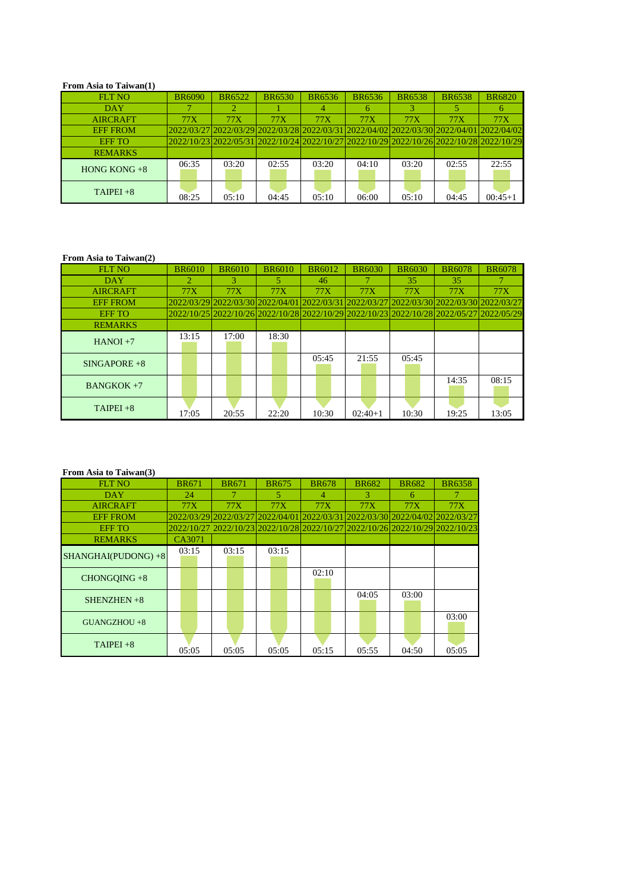#### **From Asia to Taiwan(1)**

# **From Asia to Taiwan(2)**

| <b>FLT NO</b>   | <b>BR6090</b> | <b>BR6522</b> | <b>BR6530</b> | <b>BR6536</b> | <b>BR6536</b> | <b>BR6538</b> | <b>BR6538</b>                                                                           | <b>BR6820</b> |
|-----------------|---------------|---------------|---------------|---------------|---------------|---------------|-----------------------------------------------------------------------------------------|---------------|
| <b>DAY</b>      |               |               |               | 4             | 6             |               |                                                                                         |               |
| <b>AIRCRAFT</b> | <b>77X</b>    | <b>77X</b>    | <b>77X</b>    | <b>77X</b>    | <b>77X</b>    | <b>77X</b>    | <b>77X</b>                                                                              | <b>77X</b>    |
| <b>EFF FROM</b> |               |               |               |               |               |               | 2022/03/27 2022/03/29 2022/03/28 2022/03/31 2022/04/02 2022/03/30 2022/04/01 2022/04/02 |               |
| <b>EFF TO</b>   |               |               |               |               |               |               | 2022/10/23 2022/05/31 2022/10/24 2022/10/27 2022/10/29 2022/10/26 2022/10/28 2022/10/29 |               |
| <b>REMARKS</b>  |               |               |               |               |               |               |                                                                                         |               |
| HONG KONG $+8$  | 06:35         | 03:20         | 02:55         | 03:20         | 04:10         | 03:20         | 02:55                                                                                   | 22:55         |
| $TAIPEI + 8$    | 08:25         | 05:10         | 04:45         | 05:10         | 06:00         | 05:10         | 04:45                                                                                   | $00:45+1$     |

#### **From Asia to Taiwan(3)**

| <b>FLT NO</b>   | <b>BR6010</b>         | <b>BR6010</b>                                                                           | <b>BR6010</b> | <b>BR6012</b> | <b>BR6030</b> | <b>BR6030</b> | <b>BR6078</b> | <b>BR6078</b>                                                                           |
|-----------------|-----------------------|-----------------------------------------------------------------------------------------|---------------|---------------|---------------|---------------|---------------|-----------------------------------------------------------------------------------------|
| <b>DAY</b>      | $\mathcal{D}_{\cdot}$ | 3.                                                                                      |               | 46            |               | 35            | 35            |                                                                                         |
| <b>AIRCRAFT</b> | <b>77X</b>            | <b>77X</b>                                                                              | <b>77X</b>    | <b>77X</b>    | <b>77X</b>    | <b>77X</b>    | <b>77X</b>    | <b>77X</b>                                                                              |
| <b>EFF FROM</b> |                       | 2022/03/29 2022/03/30 2022/04/01 2022/03/31 2022/03/27 2022/03/30 2022/03/30 2022/03/27 |               |               |               |               |               |                                                                                         |
| <b>EFF TO</b>   |                       |                                                                                         |               |               |               |               |               | 2022/10/25 2022/10/26 2022/10/28 2022/10/29 2022/10/23 2022/10/28 2022/05/27 2022/05/29 |
| <b>REMARKS</b>  |                       |                                                                                         |               |               |               |               |               |                                                                                         |
| $HANOI + 7$     | 13:15                 | 17:00                                                                                   | 18:30         |               |               |               |               |                                                                                         |
| $SINGAPORE + 8$ |                       |                                                                                         |               | 05:45         | 21:55         | 05:45         |               |                                                                                         |
| $BANGKOK +7$    |                       |                                                                                         |               |               |               |               | 14:35         | 08:15                                                                                   |
| $TAIPEI + 8$    | 17:05                 | 20:55                                                                                   | 22:20         | 10:30         | $02:40+1$     | 10:30         | 19:25         | 13:05                                                                                   |

| <b>FLT NO</b>          | <b>BR671</b> | <b>BR671</b>                                                                 | <b>BR675</b> | <b>BR678</b>   | <b>BR682</b> | <b>BR682</b> | <b>BR6358</b> |
|------------------------|--------------|------------------------------------------------------------------------------|--------------|----------------|--------------|--------------|---------------|
| <b>DAY</b>             | 24           |                                                                              | 5.           | $\overline{4}$ | 3            | 6            |               |
| <b>AIRCRAFT</b>        | <b>77X</b>   | 77X                                                                          | <b>77X</b>   | <b>77X</b>     | <b>77X</b>   | 77X          | <b>77X</b>    |
| <b>EFF FROM</b>        |              | 2022/03/29 2022/03/27 2022/04/01 2022/03/31 2022/03/30 2022/04/02 2022/03/27 |              |                |              |              |               |
| <b>EFF TO</b>          |              | 2022/10/27 2022/10/23 2022/10/28 2022/10/27 2022/10/26 2022/10/29 2022/10/23 |              |                |              |              |               |
| <b>REMARKS</b>         | CA3071       |                                                                              |              |                |              |              |               |
| $SHANGHAI(PUDONG) + 8$ | 03:15        | 03:15                                                                        | 03:15        |                |              |              |               |
| $CHONGQING + 8$        |              |                                                                              |              | 02:10          |              |              |               |
| SHENZHEN $+8$          |              |                                                                              |              |                | 04:05        | 03:00        |               |
| $GUANGZHOU +8$         |              |                                                                              |              |                |              |              | 03:00         |
| $TAIPEI + 8$           | 05:05        | 05:05                                                                        | 05:05        | 05:15          | 05:55        | 04:50        | 05:05         |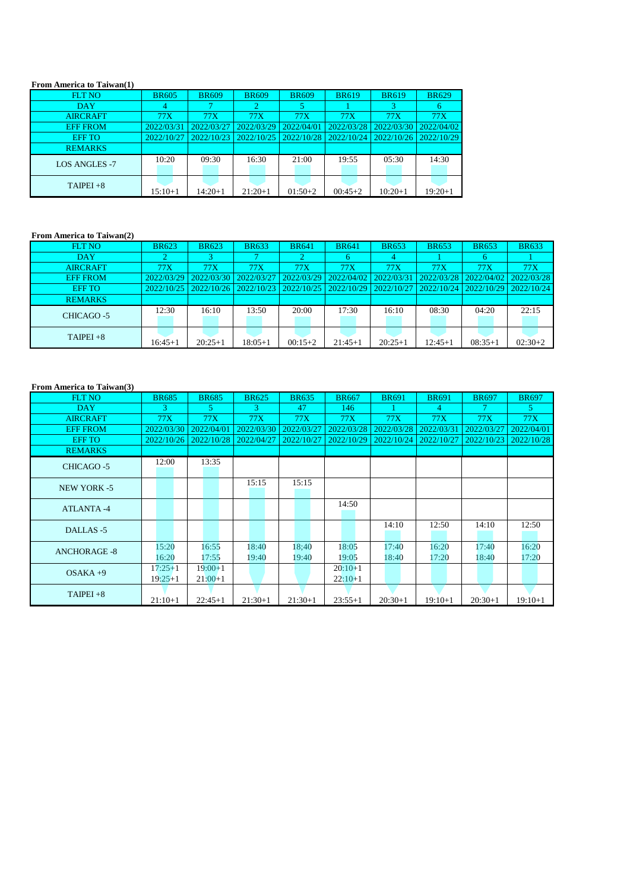#### **From America to Taiwan(1)**

#### **From America to Taiwan(2)**

| <b>FLT NO</b>        | <b>BR605</b> | <b>BR609</b> | <b>BR609</b> | <b>BR609</b> | <b>BR619</b> | <b>BR619</b> | <b>BR629</b> |
|----------------------|--------------|--------------|--------------|--------------|--------------|--------------|--------------|
| <b>DAY</b>           |              |              |              |              |              |              | b            |
| <b>AIRCRAFT</b>      | <b>77X</b>   | <b>77X</b>   | 77X          | 77X          | <b>77X</b>   | <b>77X</b>   | <b>77X</b>   |
| <b>EFF FROM</b>      | 2022/03/31   | 2022/03/27   | 2022/03/29   | 2022/04/01   | 2022/03/28   | 2022/03/30   | 2022/04/02   |
| <b>EFF TO</b>        | 2022/10/27   | 2022/10/23   | 2022/10/25   | 2022/10/28   | 2022/10/24   | 2022/10/26   | 2022/10/29   |
| <b>REMARKS</b>       |              |              |              |              |              |              |              |
| <b>LOS ANGLES -7</b> | 10:20        | 09:30        | 16:30        | 21:00        | 19:55        | 05:30        | 14:30        |
| $TAIPEI + 8$         | 15:10+1      | $14:20+1$    | $21:20+1$    | $01:50+2$    | $00:45+2$    | $10:20+1$    | $19:20+1$    |

#### **From America to Taiwan(3)**

| <b>FLT NO</b>     | <b>BR623</b> | <b>BR623</b> | <b>BR633</b> | <b>BR641</b> | <b>BR641</b> | <b>BR653</b> | <b>BR653</b> | <b>BR653</b> | <b>BR633</b> |
|-------------------|--------------|--------------|--------------|--------------|--------------|--------------|--------------|--------------|--------------|
| <b>DAY</b>        |              |              |              |              | <sub>0</sub> | 4            |              |              |              |
| <b>AIRCRAFT</b>   | 77X          | 77X          | <b>77X</b>   | 77X          | 77X          | 77X          | 77X          | 77X          | <b>77X</b>   |
| <b>EFF FROM</b>   | 2022/03/29   | 2022/03/30   | 2022/03/27   | 2022/03/29   | 2022/04/02   | 2022/03/3    | 2022/03/28   | 2022/04/02   | 2022/03/28   |
| <b>EFF TO</b>     | 2022/10/25   | 2022/10/26   | 2022/10/23   | 2022/10/25   | 2022/10/29   | 2022/10/27   | 2022/10/24   | 2022/10/29   | 2022/10/24   |
| <b>REMARKS</b>    |              |              |              |              |              |              |              |              |              |
| <b>CHICAGO -5</b> | 12:30        | 16:10        | 13:50        | 20:00        | 17:30        | 16:10        | 08:30        | 04:20        | 22:15        |
| $TAIPEI + 8$      | 16:45+1      | $20:25+1$    | 18:05+1      | $00:15+2$    | $21:45+1$    | $20:25+1$    | 12:45+1      | $08:35+1$    | $02:30+2$    |

| <b>FLT NO</b>       | <b>BR685</b>           | <b>BR685</b>           | <b>BR625</b>   | <b>BR635</b>   | <b>BR667</b>           | <b>BR691</b>   | <b>BR691</b>   | <b>BR697</b>   | <b>BR697</b>   |
|---------------------|------------------------|------------------------|----------------|----------------|------------------------|----------------|----------------|----------------|----------------|
| DAY                 | 3                      | 5 <sup>1</sup>         | $\mathbf{3}$   | 47             | 146                    |                | $\overline{4}$ | $\tau$         | 5 <sup>1</sup> |
| <b>AIRCRAFT</b>     | <b>77X</b>             | 77X                    | <b>77X</b>     | <b>77X</b>     | <b>77X</b>             | <b>77X</b>     | <b>77X</b>     | <b>77X</b>     | <b>77X</b>     |
| <b>EFF FROM</b>     | 2022/03/30             | 2022/04/01             | 2022/03/30     | 2022/03/27     | 2022/03/28             | 2022/03/28     | 2022/03/31     | 2022/03/27     | 2022/04/01     |
| <b>EFF TO</b>       | 2022/10/26             | 2022/10/28             | 2022/04/27     | 2022/10/27     | 2022/10/29             | 2022/10/24     | 2022/10/27     | 2022/10/23     | 2022/10/28     |
| <b>REMARKS</b>      |                        |                        |                |                |                        |                |                |                |                |
| <b>CHICAGO -5</b>   | 12:00                  | 13:35                  |                |                |                        |                |                |                |                |
| <b>NEW YORK -5</b>  |                        |                        | 15:15          | 15:15          |                        |                |                |                |                |
| <b>ATLANTA-4</b>    |                        |                        |                |                | 14:50                  |                |                |                |                |
| DALLAS-5            |                        |                        |                |                |                        | 14:10          | 12:50          | 14:10          | 12:50          |
| <b>ANCHORAGE -8</b> | 15:20<br>16:20         | 16:55<br>17:55         | 18:40<br>19:40 | 18;40<br>19:40 | 18:05<br>19:05         | 17:40<br>18:40 | 16:20<br>17:20 | 17:40<br>18:40 | 16:20<br>17:20 |
| $OSAKA +9$          | $17:25+1$<br>$19:25+1$ | $19:00+1$<br>$21:00+1$ |                |                | $20:10+1$<br>$22:10+1$ |                |                |                |                |
| $TAIPEI + 8$        | $21:10+1$              | $22:45+1$              | $21:30+1$      | $21:30+1$      | $23:55+1$              | $20:30+1$      | $19:10+1$      | $20:30+1$      | $19:10+1$      |